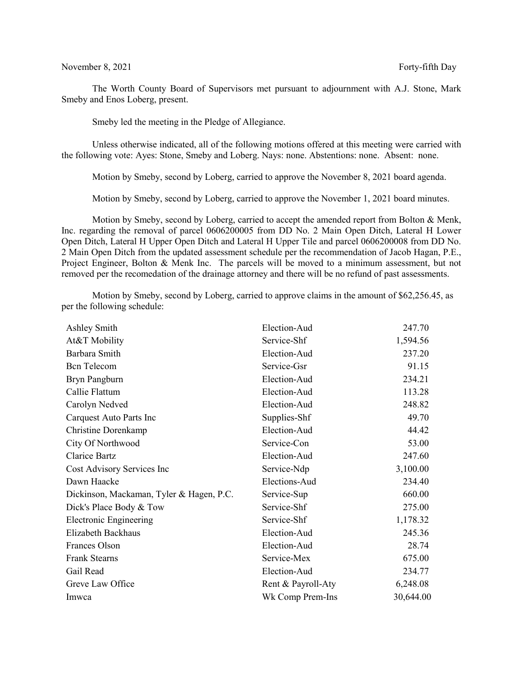The Worth County Board of Supervisors met pursuant to adjournment with A.J. Stone, Mark Smeby and Enos Loberg, present.

Smeby led the meeting in the Pledge of Allegiance.

Unless otherwise indicated, all of the following motions offered at this meeting were carried with the following vote: Ayes: Stone, Smeby and Loberg. Nays: none. Abstentions: none. Absent: none.

Motion by Smeby, second by Loberg, carried to approve the November 8, 2021 board agenda.

Motion by Smeby, second by Loberg, carried to approve the November 1, 2021 board minutes.

Motion by Smeby, second by Loberg, carried to accept the amended report from Bolton & Menk, Inc. regarding the removal of parcel 0606200005 from DD No. 2 Main Open Ditch, Lateral H Lower Open Ditch, Lateral H Upper Open Ditch and Lateral H Upper Tile and parcel 0606200008 from DD No. 2 Main Open Ditch from the updated assessment schedule per the recommendation of Jacob Hagan, P.E., Project Engineer, Bolton & Menk Inc. The parcels will be moved to a minimum assessment, but not removed per the recomedation of the drainage attorney and there will be no refund of past assessments.

Motion by Smeby, second by Loberg, carried to approve claims in the amount of \$62,256.45, as per the following schedule:

| Ashley Smith                             | Election-Aud       | 247.70    |
|------------------------------------------|--------------------|-----------|
| At&T Mobility                            | Service-Shf        | 1,594.56  |
| Barbara Smith                            | Election-Aud       | 237.20    |
| <b>Bcn</b> Telecom                       | Service-Gsr        | 91.15     |
| Bryn Pangburn                            | Election-Aud       | 234.21    |
| Callie Flattum                           | Election-Aud       | 113.28    |
| Carolyn Nedved                           | Election-Aud       | 248.82    |
| Carquest Auto Parts Inc                  | Supplies-Shf       | 49.70     |
| Christine Dorenkamp                      | Election-Aud       | 44.42     |
| City Of Northwood                        | Service-Con        | 53.00     |
| <b>Clarice Bartz</b>                     | Election-Aud       | 247.60    |
| Cost Advisory Services Inc               | Service-Ndp        | 3,100.00  |
| Dawn Haacke                              | Elections-Aud      | 234.40    |
| Dickinson, Mackaman, Tyler & Hagen, P.C. | Service-Sup        | 660.00    |
| Dick's Place Body & Tow                  | Service-Shf        | 275.00    |
| <b>Electronic Engineering</b>            | Service-Shf        | 1,178.32  |
| Elizabeth Backhaus                       | Election-Aud       | 245.36    |
| Frances Olson                            | Election-Aud       | 28.74     |
| <b>Frank Stearns</b>                     | Service-Mex        | 675.00    |
| Gail Read                                | Election-Aud       | 234.77    |
| Greve Law Office                         | Rent & Payroll-Aty | 6,248.08  |
| Imwca                                    | Wk Comp Prem-Ins   | 30,644.00 |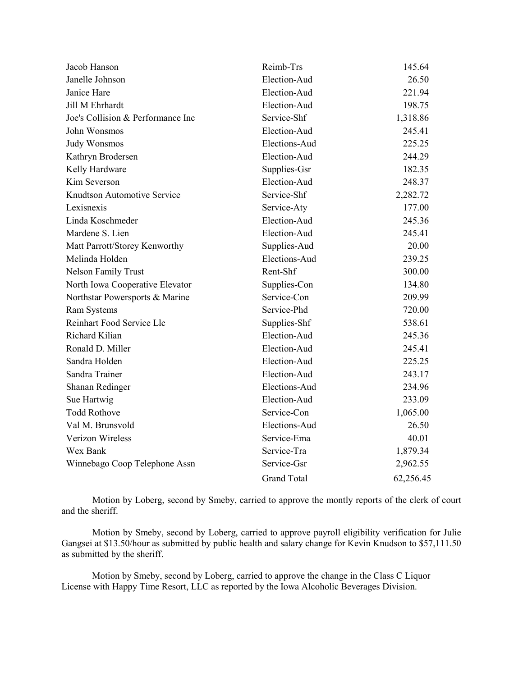| Jacob Hanson                      | Reimb-Trs              | 145.64    |  |
|-----------------------------------|------------------------|-----------|--|
| Janelle Johnson                   | Election-Aud           | 26.50     |  |
| Janice Hare                       | Election-Aud<br>221.94 |           |  |
| Jill M Ehrhardt                   | Election-Aud           | 198.75    |  |
| Joe's Collision & Performance Inc | Service-Shf            | 1,318.86  |  |
| John Wonsmos                      | Election-Aud           | 245.41    |  |
| <b>Judy Wonsmos</b>               | Elections-Aud          | 225.25    |  |
| Kathryn Brodersen                 | Election-Aud           | 244.29    |  |
| Kelly Hardware                    | Supplies-Gsr           | 182.35    |  |
| Kim Severson                      | Election-Aud           | 248.37    |  |
| Knudtson Automotive Service       | Service-Shf            | 2,282.72  |  |
| Lexisnexis                        | Service-Aty            | 177.00    |  |
| Linda Koschmeder                  | Election-Aud           | 245.36    |  |
| Mardene S. Lien                   | Election-Aud           | 245.41    |  |
| Matt Parrott/Storey Kenworthy     | Supplies-Aud           | 20.00     |  |
| Melinda Holden                    | Elections-Aud          | 239.25    |  |
| <b>Nelson Family Trust</b>        | Rent-Shf               | 300.00    |  |
| North Iowa Cooperative Elevator   | Supplies-Con           | 134.80    |  |
| Northstar Powersports & Marine    | Service-Con            | 209.99    |  |
| <b>Ram Systems</b>                | Service-Phd            | 720.00    |  |
| Reinhart Food Service Llc         | Supplies-Shf           | 538.61    |  |
| Richard Kilian                    | Election-Aud           | 245.36    |  |
| Ronald D. Miller                  | Election-Aud           | 245.41    |  |
| Sandra Holden                     | Election-Aud           | 225.25    |  |
| Sandra Trainer                    | Election-Aud           | 243.17    |  |
| Shanan Redinger                   | Elections-Aud          | 234.96    |  |
| Sue Hartwig                       | Election-Aud           | 233.09    |  |
| <b>Todd Rothove</b>               | Service-Con            | 1,065.00  |  |
| Val M. Brunsvold                  | Elections-Aud          | 26.50     |  |
| Verizon Wireless                  | Service-Ema            | 40.01     |  |
| Wex Bank                          | Service-Tra            | 1,879.34  |  |
| Winnebago Coop Telephone Assn     | Service-Gsr            | 2,962.55  |  |
|                                   | <b>Grand Total</b>     | 62,256.45 |  |

Motion by Loberg, second by Smeby, carried to approve the montly reports of the clerk of court and the sheriff.

Motion by Smeby, second by Loberg, carried to approve payroll eligibility verification for Julie Gangsei at \$13.50/hour as submitted by public health and salary change for Kevin Knudson to \$57,111.50 as submitted by the sheriff.

 Motion by Smeby, second by Loberg, carried to approve the change in the Class C Liquor License with Happy Time Resort, LLC as reported by the Iowa Alcoholic Beverages Division.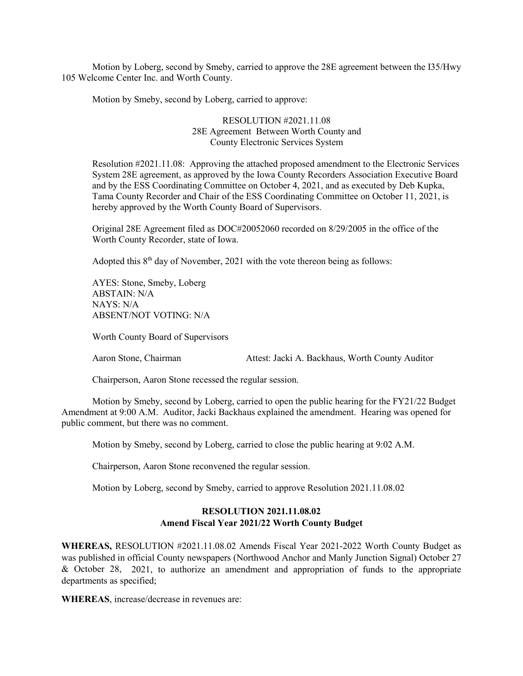Motion by Loberg, second by Smeby, carried to approve the 28E agreement between the I35/Hwy 105 Welcome Center Inc. and Worth County.

Motion by Smeby, second by Loberg, carried to approve:

### RESOLUTION #2021.11.08 28E Agreement Between Worth County and County Electronic Services System

Resolution #2021.11.08: Approving the attached proposed amendment to the Electronic Services System 28E agreement, as approved by the Iowa County Recorders Association Executive Board and by the ESS Coordinating Committee on October 4, 2021, and as executed by Deb Kupka, Tama County Recorder and Chair of the ESS Coordinating Committee on October 11, 2021, is hereby approved by the Worth County Board of Supervisors.

Original 28E Agreement filed as DOC#20052060 recorded on 8/29/2005 in the office of the Worth County Recorder, state of Iowa.

Adopted this  $8<sup>th</sup>$  day of November, 2021 with the vote thereon being as follows:

AYES: Stone, Smeby, Loberg ABSTAIN: N/A NAYS: N/A ABSENT/NOT VOTING: N/A

Worth County Board of Supervisors

Aaron Stone, Chairman Attest: Jacki A. Backhaus, Worth County Auditor

Chairperson, Aaron Stone recessed the regular session.

Motion by Smeby, second by Loberg, carried to open the public hearing for the FY21/22 Budget Amendment at 9:00 A.M. Auditor, Jacki Backhaus explained the amendment. Hearing was opened for public comment, but there was no comment.

Motion by Smeby, second by Loberg, carried to close the public hearing at 9:02 A.M.

Chairperson, Aaron Stone reconvened the regular session.

Motion by Loberg, second by Smeby, carried to approve Resolution 2021.11.08.02

## **RESOLUTION 2021.11.08.02 Amend Fiscal Year 2021/22 Worth County Budget**

**WHEREAS,** RESOLUTION #2021.11.08.02 Amends Fiscal Year 2021-2022 Worth County Budget as was published in official County newspapers (Northwood Anchor and Manly Junction Signal) October 27 & October 28, 2021, to authorize an amendment and appropriation of funds to the appropriate departments as specified;

**WHEREAS**, increase/decrease in revenues are: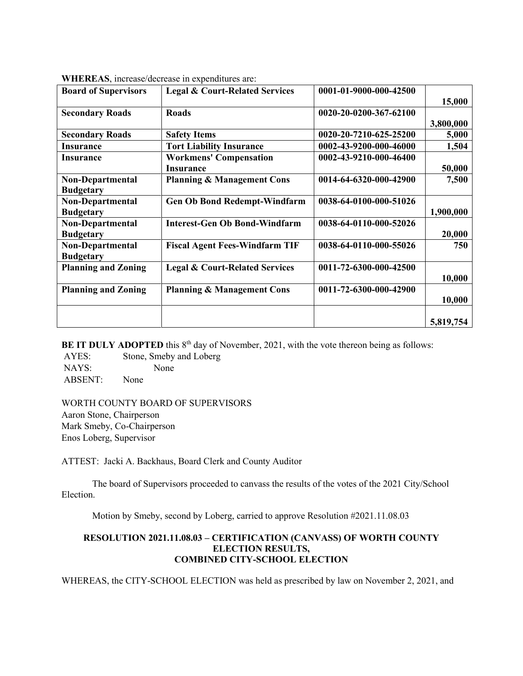| <b>Board of Supervisors</b> | <b>Legal &amp; Court-Related Services</b> | 0001-01-9000-000-42500 |           |
|-----------------------------|-------------------------------------------|------------------------|-----------|
|                             |                                           |                        | 15,000    |
| <b>Secondary Roads</b>      | <b>Roads</b>                              | 0020-20-0200-367-62100 |           |
|                             |                                           |                        | 3,800,000 |
| <b>Secondary Roads</b>      | <b>Safety Items</b>                       | 0020-20-7210-625-25200 | 5,000     |
| <b>Insurance</b>            | <b>Tort Liability Insurance</b>           | 0002-43-9200-000-46000 | 1,504     |
| <b>Insurance</b>            | <b>Workmens' Compensation</b>             | 0002-43-9210-000-46400 |           |
|                             | <b>Insurance</b>                          |                        | 50,000    |
| <b>Non-Departmental</b>     | <b>Planning &amp; Management Cons</b>     | 0014-64-6320-000-42900 | 7,500     |
| <b>Budgetary</b>            |                                           |                        |           |
| <b>Non-Departmental</b>     | <b>Gen Ob Bond Redempt-Windfarm</b>       | 0038-64-0100-000-51026 |           |
| <b>Budgetary</b>            |                                           |                        | 1,900,000 |
| <b>Non-Departmental</b>     | <b>Interest-Gen Ob Bond-Windfarm</b>      | 0038-64-0110-000-52026 |           |
| <b>Budgetary</b>            |                                           |                        | 20,000    |
| Non-Departmental            | <b>Fiscal Agent Fees-Windfarm TIF</b>     | 0038-64-0110-000-55026 | 750       |
| <b>Budgetary</b>            |                                           |                        |           |
| <b>Planning and Zoning</b>  | <b>Legal &amp; Court-Related Services</b> | 0011-72-6300-000-42500 |           |
|                             |                                           |                        | 10,000    |
| <b>Planning and Zoning</b>  | <b>Planning &amp; Management Cons</b>     | 0011-72-6300-000-42900 |           |
|                             |                                           |                        | 10,000    |
|                             |                                           |                        |           |
|                             |                                           |                        | 5,819,754 |

**WHEREAS**, increase/decrease in expenditures are:

**BE IT DULY ADOPTED** this 8<sup>th</sup> day of November, 2021, with the vote thereon being as follows:

AYES: Stone, Smeby and Loberg NAYS: None ABSENT: None

#### WORTH COUNTY BOARD OF SUPERVISORS

Aaron Stone, Chairperson Mark Smeby, Co-Chairperson Enos Loberg, Supervisor

ATTEST: Jacki A. Backhaus, Board Clerk and County Auditor

The board of Supervisors proceeded to canvass the results of the votes of the 2021 City/School Election.

Motion by Smeby, second by Loberg, carried to approve Resolution #2021.11.08.03

## **RESOLUTION 2021.11.08.03 – CERTIFICATION (CANVASS) OF WORTH COUNTY ELECTION RESULTS, COMBINED CITY-SCHOOL ELECTION**

WHEREAS, the CITY-SCHOOL ELECTION was held as prescribed by law on November 2, 2021, and